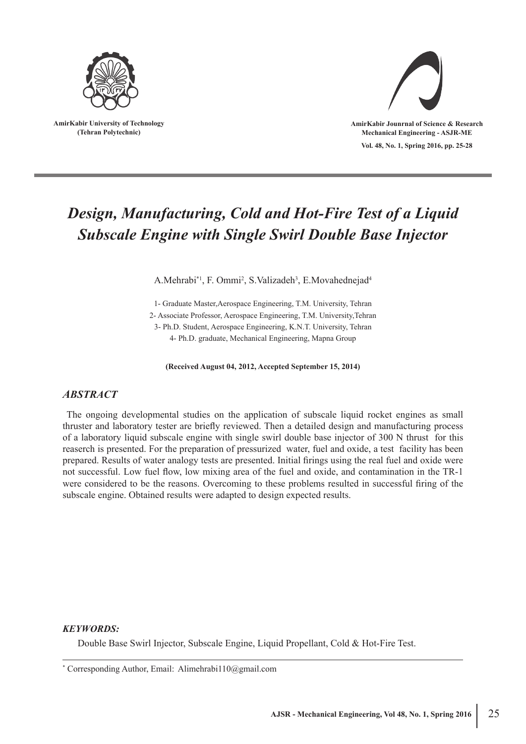

**AmirKabir University of Technology (Tehran Polytechnic)**



**Vol. 48, No. 1, Spring 2016, pp. 25-28**

# *Design, Manufacturing, Cold and Hot-Fire Test of a Liquid Subscale Engine with Single Swirl Double Base Injector*

A.Mehrabi<sup>\*1</sup>, F. Ommi<sup>2</sup>, S.Valizadeh<sup>3</sup>, E.Movahednejad<sup>4</sup>

1- Graduate Master,Aerospace Engineering, T.M. University, Tehran 2- Associate Professor, Aerospace Engineering, T.M. University,Tehran 3- Ph.D. Student, Aerospace Engineering, K.N.T. University, Tehran 4- Ph.D. graduate, Mechanical Engineering, Mapna Group

**(Received August 04, 2012, Accepted September 15, 2014)**

#### *ABSTRACT*

 The ongoing developmental studies on the application of subscale liquid rocket engines as small thruster and laboratory tester are briefly reviewed. Then a detailed design and manufacturing process of a laboratory liquid subscale engine with single swirl double base injector of 300 N thrust for this reaserch is presented. For the preparation of pressurized water, fuel and oxide, a test facility has been prepared. Results of water analogy tests are presented. Initial firings using the real fuel and oxide were not successful. Low fuel flow, low mixing area of the fuel and oxide, and contamination in the TR-1 were considered to be the reasons. Overcoming to these problems resulted in successful firing of the subscale engine. Obtained results were adapted to design expected results.

#### *KEYWORDS:*

Double Base Swirl Injector, Subscale Engine, Liquid Propellant, Cold & Hot-Fire Test.

\* Corresponding Author, Email: Alimehrabi110@gmail.com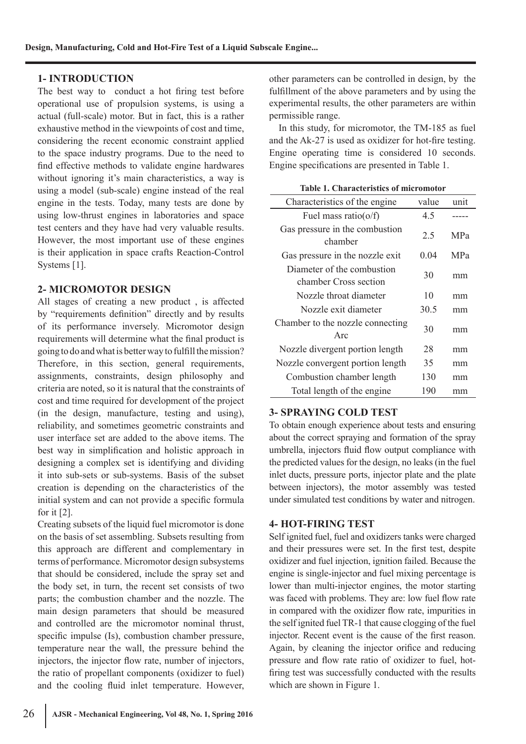## **1- INTRODUCTION**

The best way to conduct a hot firing test before operational use of propulsion systems, is using a actual (full-scale) motor. But in fact, this is a rather exhaustive method in the viewpoints of cost and time, considering the recent economic constraint applied to the space industry programs. Due to the need to find effective methods to validate engine hardwares without ignoring it's main characteristics, a way is using a model (sub-scale) engine instead of the real engine in the tests. Today, many tests are done by using low-thrust engines in laboratories and space test centers and they have had very valuable results. However, the most important use of these engines is their application in space crafts Reaction-Control Systems [1].

### **2- MICROMOTOR DESIGN**

All stages of creating a new product , is affected by "requirements definition" directly and by results of its performance inversely. Micromotor design requirements will determine what the final product is going to do and what is better way to fulfill the mission? Therefore, in this section, general requirements, assignments, constraints, design philosophy and criteria are noted, so it is natural that the constraints of cost and time required for development of the project (in the design, manufacture, testing and using), reliability, and sometimes geometric constraints and user interface set are added to the above items. The best way in simplification and holistic approach in designing a complex set is identifying and dividing it into sub-sets or sub-systems. Basis of the subset creation is depending on the characteristics of the initial system and can not provide a specific formula for it [2].

Creating subsets of the liquid fuel micromotor is done on the basis of set assembling. Subsets resulting from this approach are different and complementary in terms of performance. Micromotor design subsystems that should be considered, include the spray set and the body set, in turn, the recent set consists of two parts; the combustion chamber and the nozzle. The main design parameters that should be measured and controlled are the micromotor nominal thrust, specific impulse (Is), combustion chamber pressure, temperature near the wall, the pressure behind the injectors, the injector flow rate, number of injectors, the ratio of propellant components (oxidizer to fuel) and the cooling fluid inlet temperature. However, other parameters can be controlled in design, by the fulfillment of the above parameters and by using the experimental results, the other parameters are within permissible range.

 In this study, for micromotor, the TM-185 as fuel and the Ak-27 is used as oxidizer for hot-fire testing. Engine operating time is considered 10 seconds. Engine specifications are presented in Table 1.

| Table 1. Characteristics of micromotor              |       |            |
|-----------------------------------------------------|-------|------------|
| Characteristics of the engine                       | value | unit       |
| Fuel mass ratio( $o/f$ )                            | 4.5   |            |
| Gas pressure in the combustion<br>chamber           | 2.5   | <b>MPa</b> |
| Gas pressure in the nozzle exit                     | 0.04  | <b>MPa</b> |
| Diameter of the combustion<br>chamber Cross section | 30    | mm         |
| Nozzle throat diameter                              | 10    | mm         |
| Nozzle exit diameter                                | 30.5  | mm         |
| Chamber to the nozzle connecting<br>Arc             | 30    | mm         |
| Nozzle divergent portion length                     | 28    | mm         |
| Nozzle convergent portion length                    | 35    | mm         |
| Combustion chamber length                           | 130   | mm         |
| Total length of the engine                          | 190   | mm         |

#### **Table 1. Characteristics of micromotor**

### **3- SPRAYING COLD TEST**

To obtain enough experience about tests and ensuring about the correct spraying and formation of the spray umbrella, injectors fluid flow output compliance with the predicted values for the design, no leaks (in the fuel inlet ducts, pressure ports, injector plate and the plate between injectors), the motor assembly was tested under simulated test conditions by water and nitrogen.

### **4- HOT-FIRING TEST**

Self ignited fuel, fuel and oxidizers tanks were charged and their pressures were set. In the first test, despite oxidizer and fuel injection, ignition failed. Because the engine is single-injector and fuel mixing percentage is lower than multi-injector engines, the motor starting was faced with problems. They are: low fuel flow rate in compared with the oxidizer flow rate, impurities in the self ignited fuel TR-1 that cause clogging of the fuel injector. Recent event is the cause of the first reason. Again, by cleaning the injector orifice and reducing pressure and flow rate ratio of oxidizer to fuel, hotfiring test was successfully conducted with the results which are shown in Figure 1.